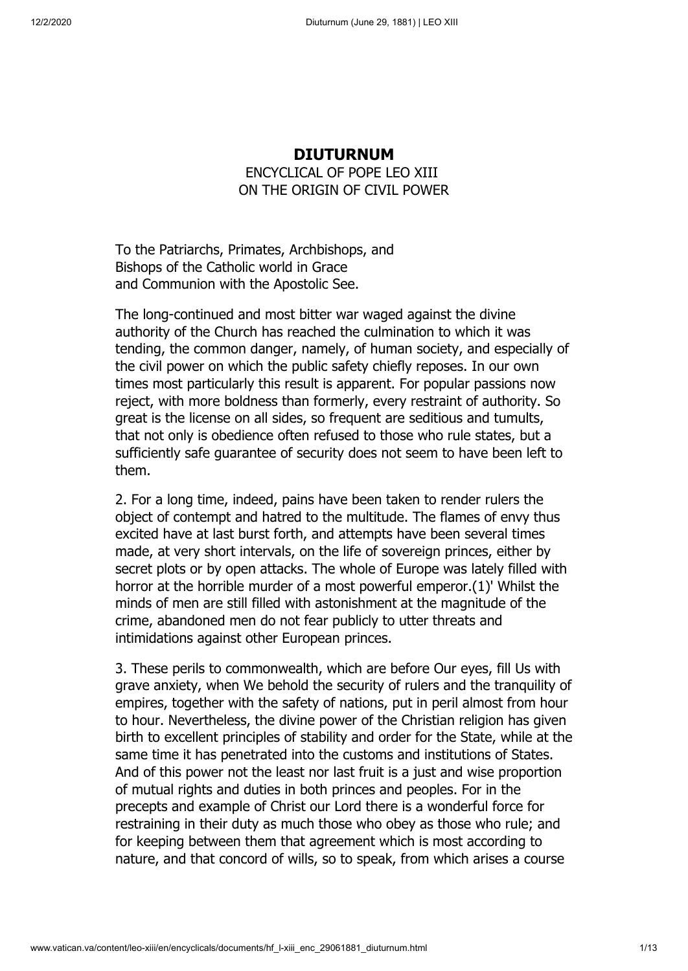## **DIUTURNUM** ENCYCLICAL OF POPE LEO XIII ON THE ORIGIN OF CIVIL POWER

To the Patriarchs, Primates, Archbishops, and Bishops of the Catholic world in Grace and Communion with the Apostolic See.

The long-continued and most bitter war waged against the divine authority of the Church has reached the culmination to which it was tending, the common danger, namely, of human society, and especially of the civil power on which the public safety chiefly reposes. In our own times most particularly this result is apparent. For popular passions now reject, with more boldness than formerly, every restraint of authority. So great is the license on all sides, so frequent are seditious and tumults, that not only is obedience often refused to those who rule states, but a sufficiently safe guarantee of security does not seem to have been left to them.

2. For a long time, indeed, pains have been taken to render rulers the object of contempt and hatred to the multitude. The flames of envy thus excited have at last burst forth, and attempts have been several times made, at very short intervals, on the life of sovereign princes, either by secret plots or by open attacks. The whole of Europe was lately filled with horror at the horrible murder of a most powerful emperor.(1)' Whilst the minds of men are still filled with astonishment at the magnitude of the crime, abandoned men do not fear publicly to utter threats and intimidations against other European princes.

3. These perils to commonwealth, which are before Our eyes, fill Us with grave anxiety, when We behold the security of rulers and the tranquility of empires, together with the safety of nations, put in peril almost from hour to hour. Nevertheless, the divine power of the Christian religion has given birth to excellent principles of stability and order for the State, while at the same time it has penetrated into the customs and institutions of States. And of this power not the least nor last fruit is a just and wise proportion of mutual rights and duties in both princes and peoples. For in the precepts and example of Christ our Lord there is a wonderful force for restraining in their duty as much those who obey as those who rule; and for keeping between them that agreement which is most according to nature, and that concord of wills, so to speak, from which arises a course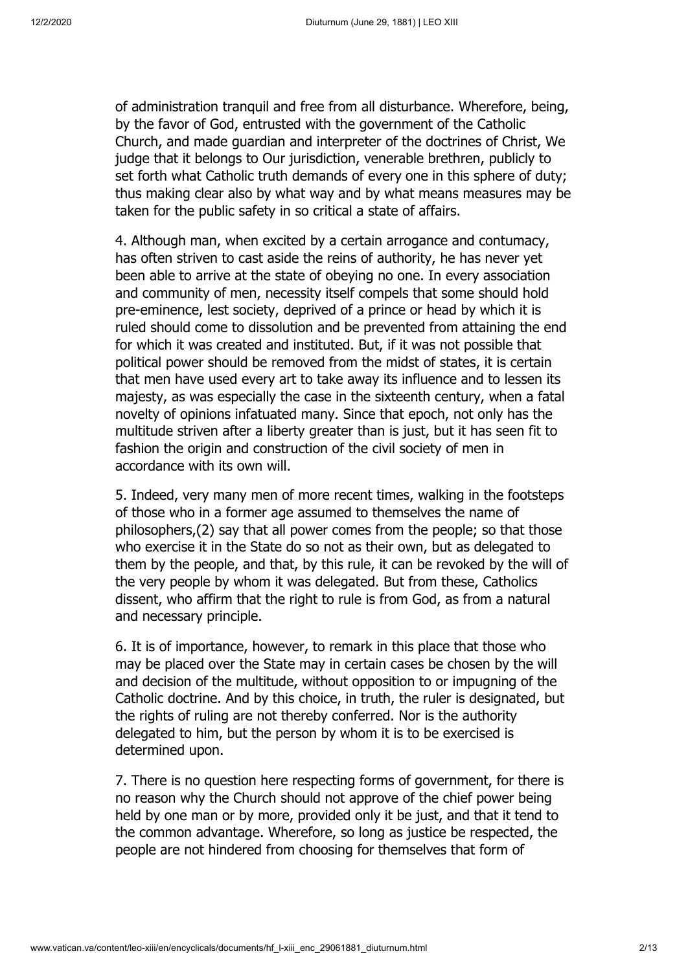of administration tranquil and free from all disturbance. Wherefore, being, by the favor of God, entrusted with the government of the Catholic Church, and made guardian and interpreter of the doctrines of Christ, We judge that it belongs to Our jurisdiction, venerable brethren, publicly to set forth what Catholic truth demands of every one in this sphere of duty; thus making clear also by what way and by what means measures may be taken for the public safety in so critical a state of affairs.

4. Although man, when excited by a certain arrogance and contumacy, has often striven to cast aside the reins of authority, he has never yet been able to arrive at the state of obeying no one. In every association and community of men, necessity itself compels that some should hold pre-eminence, lest society, deprived of a prince or head by which it is ruled should come to dissolution and be prevented from attaining the end for which it was created and instituted. But, if it was not possible that political power should be removed from the midst of states, it is certain that men have used every art to take away its influence and to lessen its majesty, as was especially the case in the sixteenth century, when a fatal novelty of opinions infatuated many. Since that epoch, not only has the multitude striven after a liberty greater than is just, but it has seen fit to fashion the origin and construction of the civil society of men in accordance with its own will.

5. Indeed, very many men of more recent times, walking in the footsteps of those who in a former age assumed to themselves the name of philosophers,(2) say that all power comes from the people; so that those who exercise it in the State do so not as their own, but as delegated to them by the people, and that, by this rule, it can be revoked by the will of the very people by whom it was delegated. But from these, Catholics dissent, who affirm that the right to rule is from God, as from a natural and necessary principle.

6. It is of importance, however, to remark in this place that those who may be placed over the State may in certain cases be chosen by the will and decision of the multitude, without opposition to or impugning of the Catholic doctrine. And by this choice, in truth, the ruler is designated, but the rights of ruling are not thereby conferred. Nor is the authority delegated to him, but the person by whom it is to be exercised is determined upon.

7. There is no question here respecting forms of government, for there is no reason why the Church should not approve of the chief power being held by one man or by more, provided only it be just, and that it tend to the common advantage. Wherefore, so long as justice be respected, the people are not hindered from choosing for themselves that form of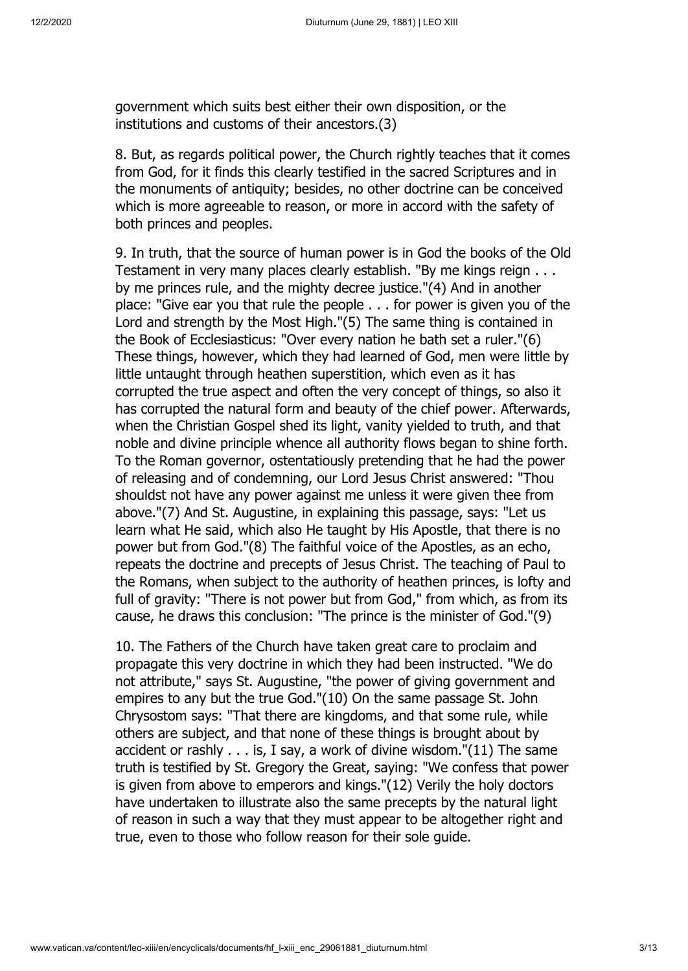government which suits best either their own disposition, or the institutions and customs of their ancestors.(3)

8. But, as regards political power, the Church rightly teaches that it comes from God, for it finds this clearly testified in the sacred Scriptures and in the monuments of antiquity; besides, no other doctrine can be conceived which is more agreeable to reason, or more in accord with the safety of both princes and peoples.

9. In truth, that the source of human power is in God the books of the Old Testament in very many places clearly establish. "By me kings reign . . . by me princes rule, and the mighty decree justice."(4) And in another place: "Give ear you that rule the people . . . for power is given you of the Lord and strength by the Most High."(5) The same thing is contained in the Book of Ecclesiasticus: "Over every nation he bath set a ruler."(6) These things, however, which they had learned of God, men were little by little untaught through heathen superstition, which even as it has corrupted the true aspect and often the very concept of things, so also it has corrupted the natural form and beauty of the chief power. Afterwards, when the Christian Gospel shed its light, vanity yielded to truth, and that noble and divine principle whence all authority flows began to shine forth. To the Roman governor, ostentatiously pretending that he had the power of releasing and of condemning, our Lord Jesus Christ answered: "Thou shouldst not have any power against me unless it were given thee from above."(7) And St. Augustine, in explaining this passage, says: "Let us learn what He said, which also He taught by His Apostle, that there is no power but from God."(8) The faithful voice of the Apostles, as an echo, repeats the doctrine and precepts of Jesus Christ. The teaching of Paul to the Romans, when subject to the authority of heathen princes, is lofty and full of gravity: "There is not power but from God," from which, as from its cause, he draws this conclusion: "The prince is the minister of God."(9)

10. The Fathers of the Church have taken great care to proclaim and propagate this very doctrine in which they had been instructed. "We do not attribute," says St. Augustine, "the power of giving government and empires to any but the true God."(10) On the same passage St. John Chrysostom says: "That there are kingdoms, and that some rule, while others are subject, and that none of these things is brought about by accident or rashly . . . is, I say, a work of divine wisdom."(11) The same truth is testified by St. Gregory the Great, saying: "We confess that power is given from above to emperors and kings."(12) Verily the holy doctors have undertaken to illustrate also the same precepts by the natural light of reason in such a way that they must appear to be altogether right and true, even to those who follow reason for their sole guide.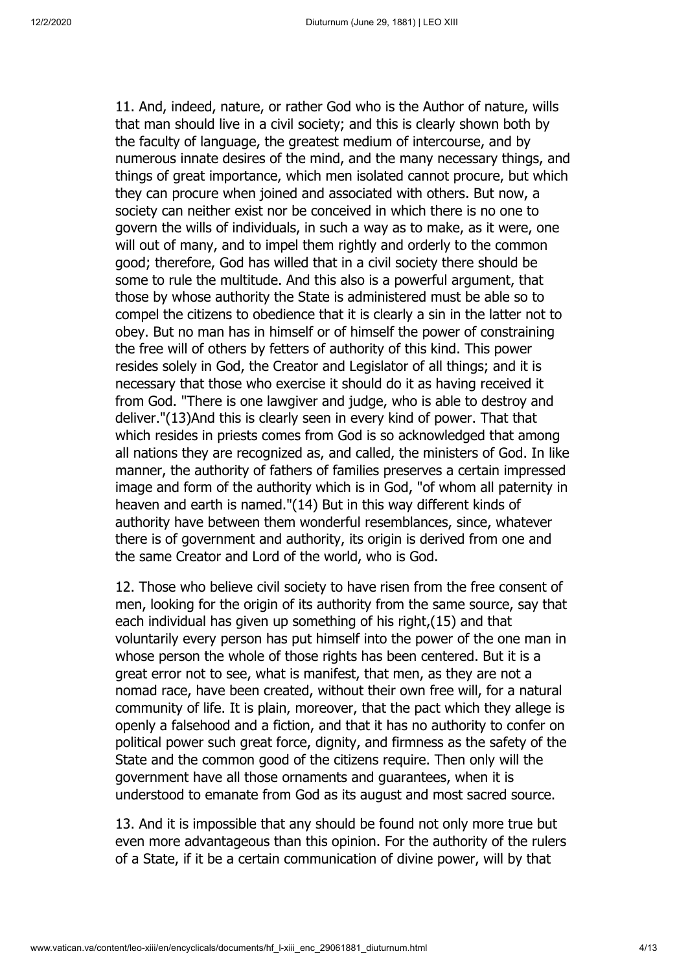11. And, indeed, nature, or rather God who is the Author of nature, wills that man should live in a civil society; and this is clearly shown both by the faculty of language, the greatest medium of intercourse, and by numerous innate desires of the mind, and the many necessary things, and things of great importance, which men isolated cannot procure, but which they can procure when joined and associated with others. But now, a society can neither exist nor be conceived in which there is no one to govern the wills of individuals, in such a way as to make, as it were, one will out of many, and to impel them rightly and orderly to the common good; therefore, God has willed that in a civil society there should be some to rule the multitude. And this also is a powerful argument, that those by whose authority the State is administered must be able so to compel the citizens to obedience that it is clearly a sin in the latter not to obey. But no man has in himself or of himself the power of constraining the free will of others by fetters of authority of this kind. This power resides solely in God, the Creator and Legislator of all things; and it is necessary that those who exercise it should do it as having received it from God. "There is one lawgiver and judge, who is able to destroy and deliver."(13)And this is clearly seen in every kind of power. That that which resides in priests comes from God is so acknowledged that among all nations they are recognized as, and called, the ministers of God. In like manner, the authority of fathers of families preserves a certain impressed image and form of the authority which is in God, "of whom all paternity in heaven and earth is named."(14) But in this way different kinds of authority have between them wonderful resemblances, since, whatever there is of government and authority, its origin is derived from one and the same Creator and Lord of the world, who is God.

12. Those who believe civil society to have risen from the free consent of men, looking for the origin of its authority from the same source, say that each individual has given up something of his right,(15) and that voluntarily every person has put himself into the power of the one man in whose person the whole of those rights has been centered. But it is a great error not to see, what is manifest, that men, as they are not a nomad race, have been created, without their own free will, for a natural community of life. It is plain, moreover, that the pact which they allege is openly a falsehood and a fiction, and that it has no authority to confer on political power such great force, dignity, and firmness as the safety of the State and the common good of the citizens require. Then only will the government have all those ornaments and guarantees, when it is understood to emanate from God as its august and most sacred source.

13. And it is impossible that any should be found not only more true but even more advantageous than this opinion. For the authority of the rulers of a State, if it be a certain communication of divine power, will by that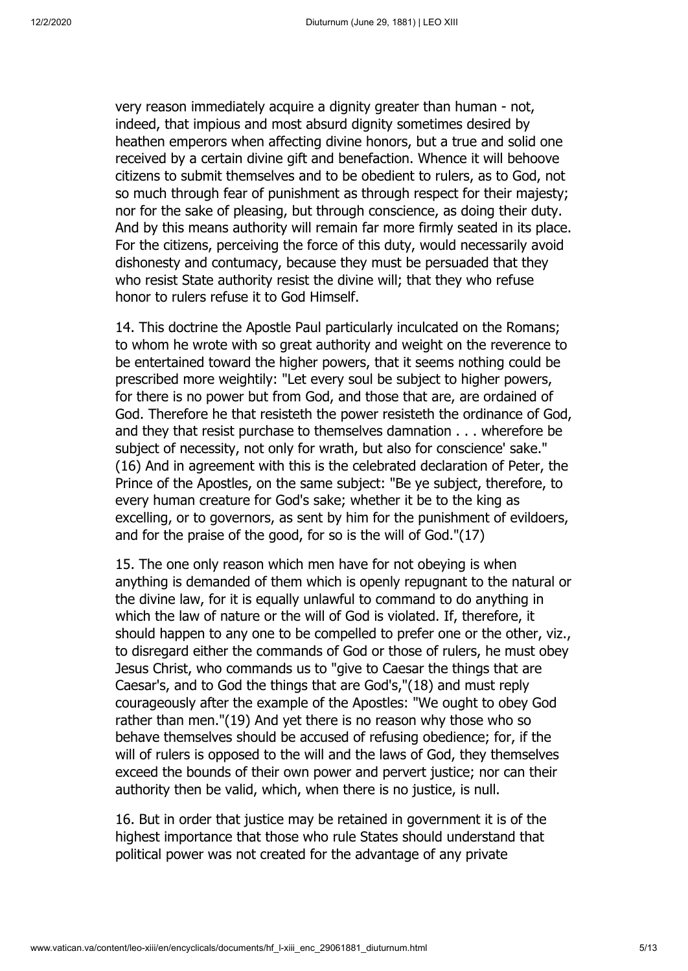very reason immediately acquire a dignity greater than human - not, indeed, that impious and most absurd dignity sometimes desired by heathen emperors when affecting divine honors, but a true and solid one received by a certain divine gift and benefaction. Whence it will behoove citizens to submit themselves and to be obedient to rulers, as to God, not so much through fear of punishment as through respect for their majesty; nor for the sake of pleasing, but through conscience, as doing their duty. And by this means authority will remain far more firmly seated in its place. For the citizens, perceiving the force of this duty, would necessarily avoid dishonesty and contumacy, because they must be persuaded that they who resist State authority resist the divine will; that they who refuse honor to rulers refuse it to God Himself.

14. This doctrine the Apostle Paul particularly inculcated on the Romans; to whom he wrote with so great authority and weight on the reverence to be entertained toward the higher powers, that it seems nothing could be prescribed more weightily: "Let every soul be subject to higher powers, for there is no power but from God, and those that are, are ordained of God. Therefore he that resisteth the power resisteth the ordinance of God, and they that resist purchase to themselves damnation . . . wherefore be subject of necessity, not only for wrath, but also for conscience' sake." (16) And in agreement with this is the celebrated declaration of Peter, the Prince of the Apostles, on the same subject: "Be ye subject, therefore, to every human creature for God's sake; whether it be to the king as excelling, or to governors, as sent by him for the punishment of evildoers, and for the praise of the good, for so is the will of God."(17)

15. The one only reason which men have for not obeying is when anything is demanded of them which is openly repugnant to the natural or the divine law, for it is equally unlawful to command to do anything in which the law of nature or the will of God is violated. If, therefore, it should happen to any one to be compelled to prefer one or the other, viz., to disregard either the commands of God or those of rulers, he must obey Jesus Christ, who commands us to "give to Caesar the things that are Caesar's, and to God the things that are God's,"(18) and must reply courageously after the example of the Apostles: "We ought to obey God rather than men."(19) And yet there is no reason why those who so behave themselves should be accused of refusing obedience; for, if the will of rulers is opposed to the will and the laws of God, they themselves exceed the bounds of their own power and pervert justice; nor can their authority then be valid, which, when there is no justice, is null.

16. But in order that justice may be retained in government it is of the highest importance that those who rule States should understand that political power was not created for the advantage of any private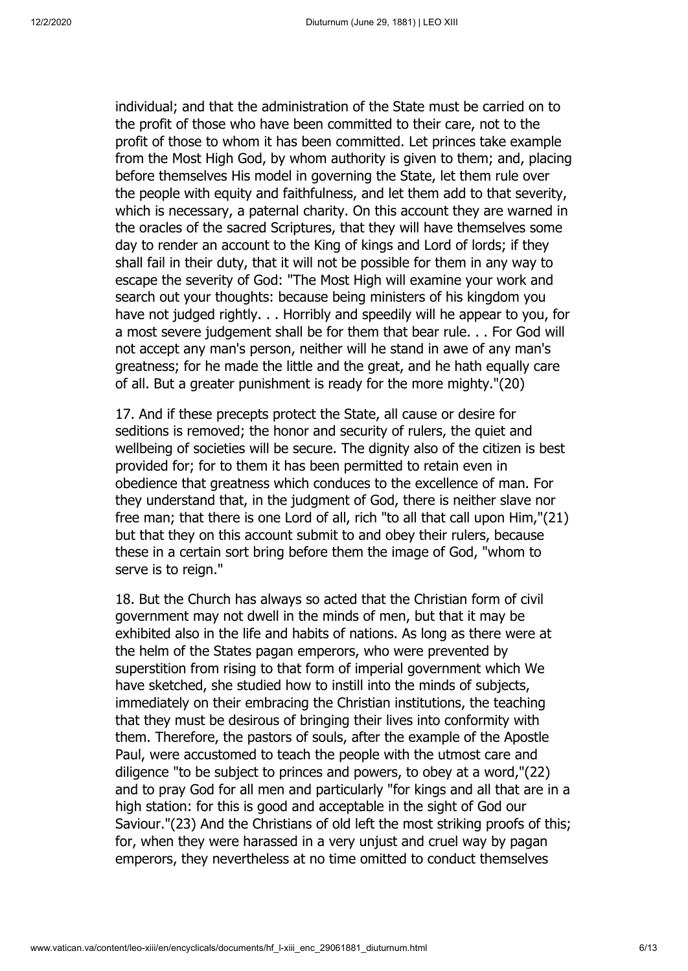individual; and that the administration of the State must be carried on to the profit of those who have been committed to their care, not to the profit of those to whom it has been committed. Let princes take example from the Most High God, by whom authority is given to them; and, placing before themselves His model in governing the State, let them rule over the people with equity and faithfulness, and let them add to that severity, which is necessary, a paternal charity. On this account they are warned in the oracles of the sacred Scriptures, that they will have themselves some day to render an account to the King of kings and Lord of lords; if they shall fail in their duty, that it will not be possible for them in any way to escape the severity of God: "The Most High will examine your work and search out your thoughts: because being ministers of his kingdom you have not judged rightly. . . Horribly and speedily will he appear to you, for a most severe judgement shall be for them that bear rule. . . For God will not accept any man's person, neither will he stand in awe of any man's greatness; for he made the little and the great, and he hath equally care of all. But a greater punishment is ready for the more mighty."(20)

17. And if these precepts protect the State, all cause or desire for seditions is removed; the honor and security of rulers, the quiet and wellbeing of societies will be secure. The dignity also of the citizen is best provided for; for to them it has been permitted to retain even in obedience that greatness which conduces to the excellence of man. For they understand that, in the judgment of God, there is neither slave nor free man; that there is one Lord of all, rich "to all that call upon Him,"(21) but that they on this account submit to and obey their rulers, because these in a certain sort bring before them the image of God, "whom to serve is to reign."

18. But the Church has always so acted that the Christian form of civil government may not dwell in the minds of men, but that it may be exhibited also in the life and habits of nations. As long as there were at the helm of the States pagan emperors, who were prevented by superstition from rising to that form of imperial government which We have sketched, she studied how to instill into the minds of subjects, immediately on their embracing the Christian institutions, the teaching that they must be desirous of bringing their lives into conformity with them. Therefore, the pastors of souls, after the example of the Apostle Paul, were accustomed to teach the people with the utmost care and diligence "to be subject to princes and powers, to obey at a word,"(22) and to pray God for all men and particularly "for kings and all that are in a high station: for this is good and acceptable in the sight of God our Saviour."(23) And the Christians of old left the most striking proofs of this; for, when they were harassed in a very unjust and cruel way by pagan emperors, they nevertheless at no time omitted to conduct themselves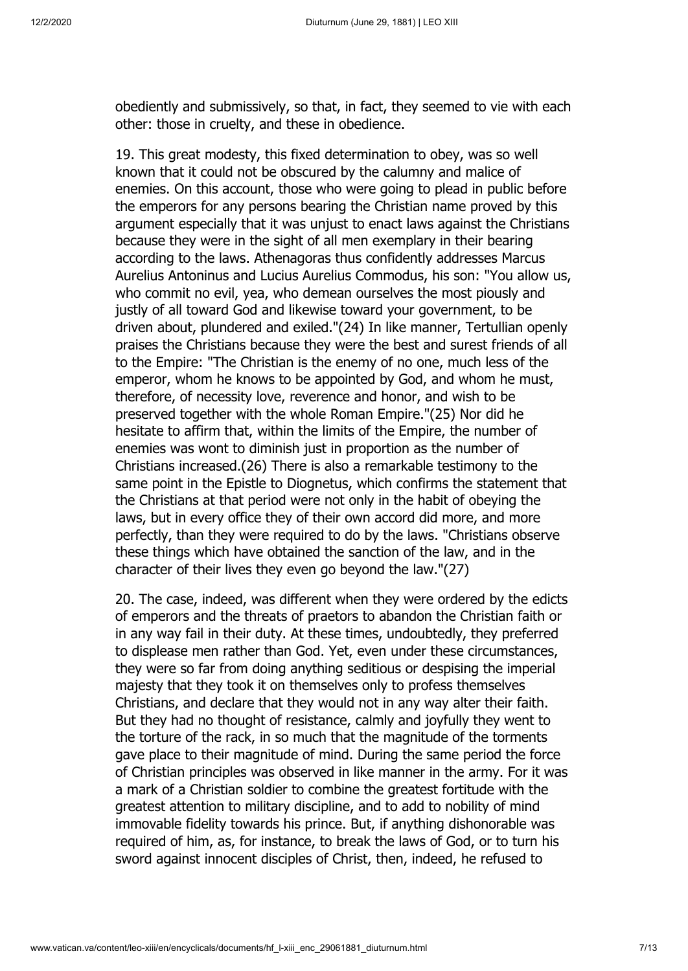obediently and submissively, so that, in fact, they seemed to vie with each other: those in cruelty, and these in obedience.

19. This great modesty, this fixed determination to obey, was so well known that it could not be obscured by the calumny and malice of enemies. On this account, those who were going to plead in public before the emperors for any persons bearing the Christian name proved by this argument especially that it was unjust to enact laws against the Christians because they were in the sight of all men exemplary in their bearing according to the laws. Athenagoras thus confidently addresses Marcus Aurelius Antoninus and Lucius Aurelius Commodus, his son: "You allow us, who commit no evil, yea, who demean ourselves the most piously and justly of all toward God and likewise toward your government, to be driven about, plundered and exiled."(24) In like manner, Tertullian openly praises the Christians because they were the best and surest friends of all to the Empire: "The Christian is the enemy of no one, much less of the emperor, whom he knows to be appointed by God, and whom he must, therefore, of necessity love, reverence and honor, and wish to be preserved together with the whole Roman Empire."(25) Nor did he hesitate to affirm that, within the limits of the Empire, the number of enemies was wont to diminish just in proportion as the number of Christians increased.(26) There is also a remarkable testimony to the same point in the Epistle to Diognetus, which confirms the statement that the Christians at that period were not only in the habit of obeying the laws, but in every office they of their own accord did more, and more perfectly, than they were required to do by the laws. "Christians observe these things which have obtained the sanction of the law, and in the character of their lives they even go beyond the law."(27)

20. The case, indeed, was different when they were ordered by the edicts of emperors and the threats of praetors to abandon the Christian faith or in any way fail in their duty. At these times, undoubtedly, they preferred to displease men rather than God. Yet, even under these circumstances, they were so far from doing anything seditious or despising the imperial majesty that they took it on themselves only to profess themselves Christians, and declare that they would not in any way alter their faith. But they had no thought of resistance, calmly and joyfully they went to the torture of the rack, in so much that the magnitude of the torments gave place to their magnitude of mind. During the same period the force of Christian principles was observed in like manner in the army. For it was a mark of a Christian soldier to combine the greatest fortitude with the greatest attention to military discipline, and to add to nobility of mind immovable fidelity towards his prince. But, if anything dishonorable was required of him, as, for instance, to break the laws of God, or to turn his sword against innocent disciples of Christ, then, indeed, he refused to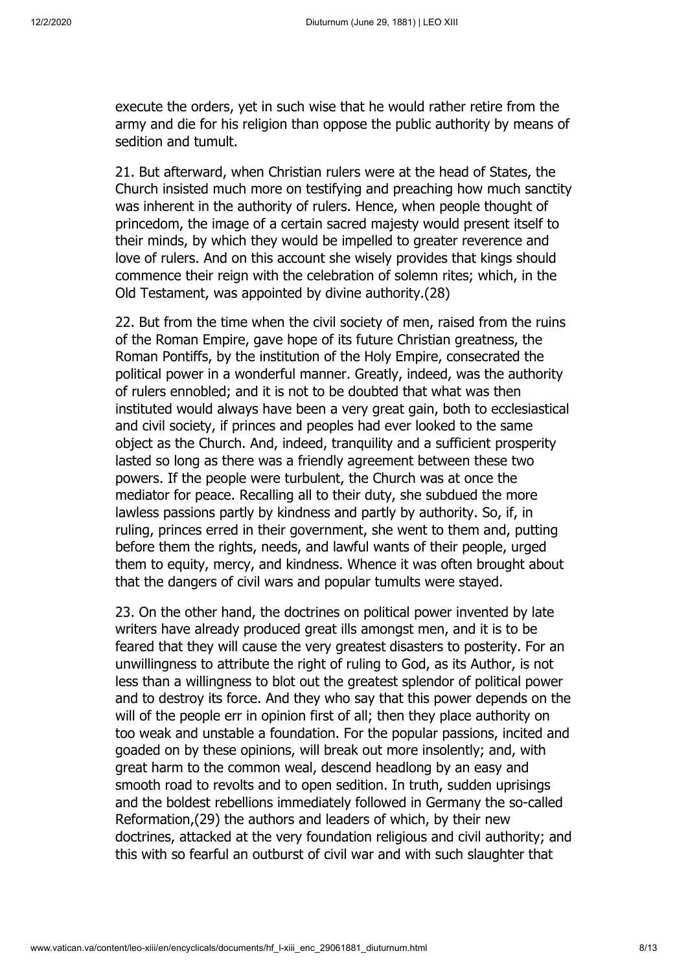execute the orders, yet in such wise that he would rather retire from the army and die for his religion than oppose the public authority by means of sedition and tumult.

21. But afterward, when Christian rulers were at the head of States, the Church insisted much more on testifying and preaching how much sanctity was inherent in the authority of rulers. Hence, when people thought of princedom, the image of a certain sacred majesty would present itself to their minds, by which they would be impelled to greater reverence and love of rulers. And on this account she wisely provides that kings should commence their reign with the celebration of solemn rites; which, in the Old Testament, was appointed by divine authority.(28)

22. But from the time when the civil society of men, raised from the ruins of the Roman Empire, gave hope of its future Christian greatness, the Roman Pontiffs, by the institution of the Holy Empire, consecrated the political power in a wonderful manner. Greatly, indeed, was the authority of rulers ennobled; and it is not to be doubted that what was then instituted would always have been a very great gain, both to ecclesiastical and civil society, if princes and peoples had ever looked to the same object as the Church. And, indeed, tranquility and a sufficient prosperity lasted so long as there was a friendly agreement between these two powers. If the people were turbulent, the Church was at once the mediator for peace. Recalling all to their duty, she subdued the more lawless passions partly by kindness and partly by authority. So, if, in ruling, princes erred in their government, she went to them and, putting before them the rights, needs, and lawful wants of their people, urged them to equity, mercy, and kindness. Whence it was often brought about that the dangers of civil wars and popular tumults were stayed.

23. On the other hand, the doctrines on political power invented by late writers have already produced great ills amongst men, and it is to be feared that they will cause the very greatest disasters to posterity. For an unwillingness to attribute the right of ruling to God, as its Author, is not less than a willingness to blot out the greatest splendor of political power and to destroy its force. And they who say that this power depends on the will of the people err in opinion first of all; then they place authority on too weak and unstable a foundation. For the popular passions, incited and goaded on by these opinions, will break out more insolently; and, with great harm to the common weal, descend headlong by an easy and smooth road to revolts and to open sedition. In truth, sudden uprisings and the boldest rebellions immediately followed in Germany the so-called Reformation,(29) the authors and leaders of which, by their new doctrines, attacked at the very foundation religious and civil authority; and this with so fearful an outburst of civil war and with such slaughter that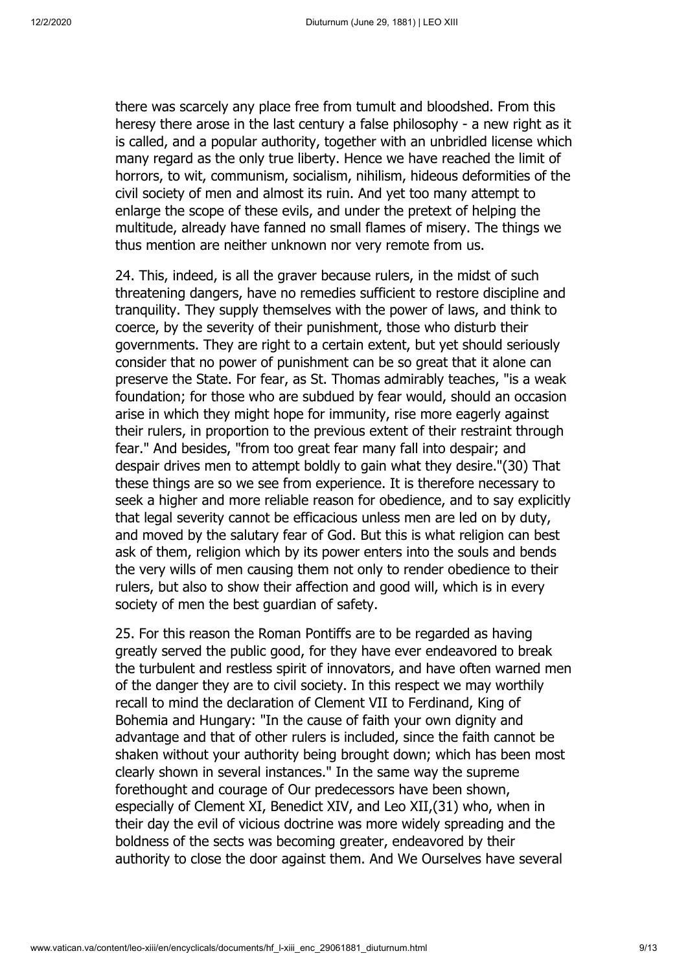there was scarcely any place free from tumult and bloodshed. From this heresy there arose in the last century a false philosophy - a new right as it is called, and a popular authority, together with an unbridled license which many regard as the only true liberty. Hence we have reached the limit of horrors, to wit, communism, socialism, nihilism, hideous deformities of the civil society of men and almost its ruin. And yet too many attempt to enlarge the scope of these evils, and under the pretext of helping the multitude, already have fanned no small flames of misery. The things we thus mention are neither unknown nor very remote from us.

24. This, indeed, is all the graver because rulers, in the midst of such threatening dangers, have no remedies sufficient to restore discipline and tranquility. They supply themselves with the power of laws, and think to coerce, by the severity of their punishment, those who disturb their governments. They are right to a certain extent, but yet should seriously consider that no power of punishment can be so great that it alone can preserve the State. For fear, as St. Thomas admirably teaches, "is a weak foundation; for those who are subdued by fear would, should an occasion arise in which they might hope for immunity, rise more eagerly against their rulers, in proportion to the previous extent of their restraint through fear." And besides, "from too great fear many fall into despair; and despair drives men to attempt boldly to gain what they desire."(30) That these things are so we see from experience. It is therefore necessary to seek a higher and more reliable reason for obedience, and to say explicitly that legal severity cannot be efficacious unless men are led on by duty, and moved by the salutary fear of God. But this is what religion can best ask of them, religion which by its power enters into the souls and bends the very wills of men causing them not only to render obedience to their rulers, but also to show their affection and good will, which is in every society of men the best guardian of safety.

25. For this reason the Roman Pontiffs are to be regarded as having greatly served the public good, for they have ever endeavored to break the turbulent and restless spirit of innovators, and have often warned men of the danger they are to civil society. In this respect we may worthily recall to mind the declaration of Clement VII to Ferdinand, King of Bohemia and Hungary: "In the cause of faith your own dignity and advantage and that of other rulers is included, since the faith cannot be shaken without your authority being brought down; which has been most clearly shown in several instances." In the same way the supreme forethought and courage of Our predecessors have been shown, especially of Clement XI, Benedict XIV, and Leo XII,(31) who, when in their day the evil of vicious doctrine was more widely spreading and the boldness of the sects was becoming greater, endeavored by their authority to close the door against them. And We Ourselves have several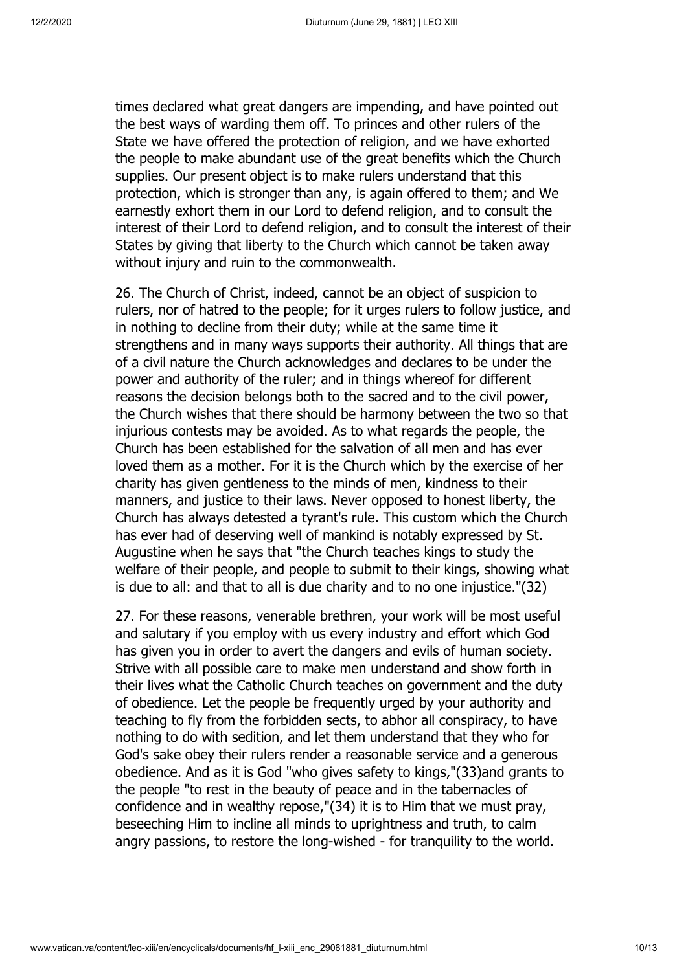times declared what great dangers are impending, and have pointed out the best ways of warding them off. To princes and other rulers of the State we have offered the protection of religion, and we have exhorted the people to make abundant use of the great benefits which the Church supplies. Our present object is to make rulers understand that this protection, which is stronger than any, is again offered to them; and We earnestly exhort them in our Lord to defend religion, and to consult the interest of their Lord to defend religion, and to consult the interest of their States by giving that liberty to the Church which cannot be taken away without injury and ruin to the commonwealth.

26. The Church of Christ, indeed, cannot be an object of suspicion to rulers, nor of hatred to the people; for it urges rulers to follow justice, and in nothing to decline from their duty; while at the same time it strengthens and in many ways supports their authority. All things that are of a civil nature the Church acknowledges and declares to be under the power and authority of the ruler; and in things whereof for different reasons the decision belongs both to the sacred and to the civil power, the Church wishes that there should be harmony between the two so that injurious contests may be avoided. As to what regards the people, the Church has been established for the salvation of all men and has ever loved them as a mother. For it is the Church which by the exercise of her charity has given gentleness to the minds of men, kindness to their manners, and justice to their laws. Never opposed to honest liberty, the Church has always detested a tyrant's rule. This custom which the Church has ever had of deserving well of mankind is notably expressed by St. Augustine when he says that "the Church teaches kings to study the welfare of their people, and people to submit to their kings, showing what is due to all: and that to all is due charity and to no one injustice."(32)

27. For these reasons, venerable brethren, your work will be most useful and salutary if you employ with us every industry and effort which God has given you in order to avert the dangers and evils of human society. Strive with all possible care to make men understand and show forth in their lives what the Catholic Church teaches on government and the duty of obedience. Let the people be frequently urged by your authority and teaching to fly from the forbidden sects, to abhor all conspiracy, to have nothing to do with sedition, and let them understand that they who for God's sake obey their rulers render a reasonable service and a generous obedience. And as it is God "who gives safety to kings,"(33)and grants to the people "to rest in the beauty of peace and in the tabernacles of confidence and in wealthy repose,"(34) it is to Him that we must pray, beseeching Him to incline all minds to uprightness and truth, to calm angry passions, to restore the long-wished - for tranquility to the world.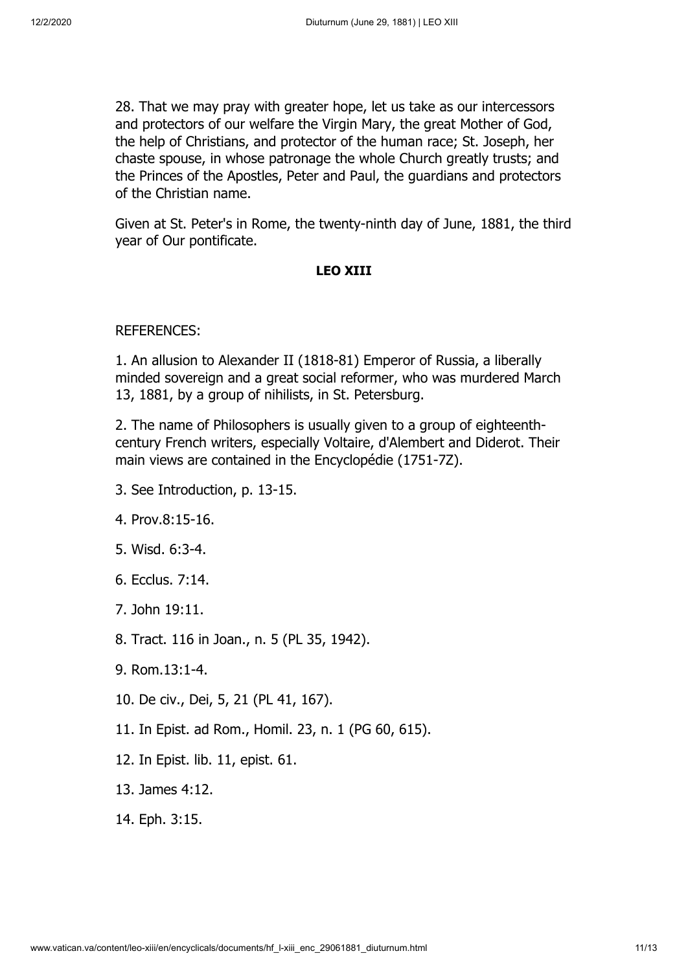28. That we may pray with greater hope, let us take as our intercessors and protectors of our welfare the Virgin Mary, the great Mother of God, the help of Christians, and protector of the human race; St. Joseph, her chaste spouse, in whose patronage the whole Church greatly trusts; and the Princes of the Apostles, Peter and Paul, the guardians and protectors of the Christian name.

Given at St. Peter's in Rome, the twenty-ninth day of June, 1881, the third year of Our pontificate.

## **LEO XIII**

## REFERENCES:

1. An allusion to Alexander II (1818-81) Emperor of Russia, a liberally minded sovereign and a great social reformer, who was murdered March 13, 1881, by a group of nihilists, in St. Petersburg.

2. The name of Philosophers is usually given to a group of eighteenthcentury French writers, especially Voltaire, d'Alembert and Diderot. Their main views are contained in the Encyclopédie (1751-7Z).

- 3. See Introduction, p. 13-15.
- 4. Prov.8:15-16.
- 5. Wisd. 6:3-4.
- 6. Ecclus. 7:14.
- 7. John 19:11.
- 8. Tract. 116 in Joan., n. 5 (PL 35, 1942).
- 9. Rom.13:1-4.
- 10. De civ., Dei, 5, 21 (PL 41, 167).
- 11. In Epist. ad Rom., Homil. 23, n. 1 (PG 60, 615).
- 12. In Epist. lib. 11, epist. 61.
- 13. James 4:12.
- 14. Eph. 3:15.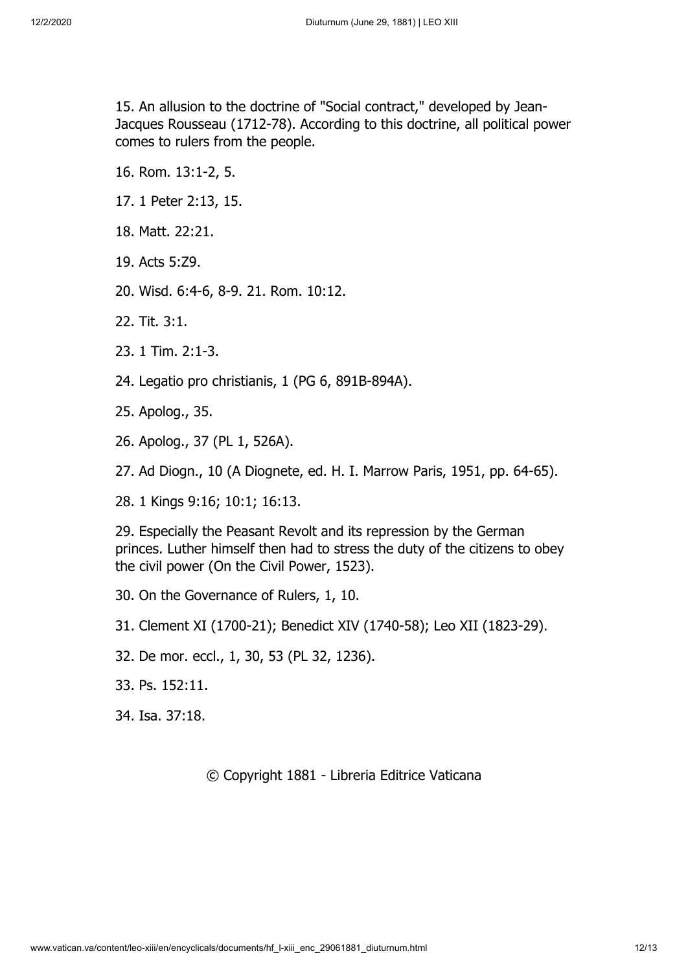15. An allusion to the doctrine of "Social contract," developed by Jean-Jacques Rousseau (1712-78). According to this doctrine, all political power comes to rulers from the people.

- 16. Rom. 13:1-2, 5.
- 17. 1 Peter 2:13, 15.
- 18. Matt. 22:21.
- 19. Acts 5:Z9.
- 20. Wisd. 6:4-6, 8-9. 21. Rom. 10:12.
- 22. Tit. 3:1.
- 23. 1 Tim. 2:1-3.
- 24. Legatio pro christianis, 1 (PG 6, 891B-894A).
- 25. Apolog., 35.
- 26. Apolog., 37 (PL 1, 526A).
- 27. Ad Diogn., 10 (A Diognete, ed. H. I. Marrow Paris, 1951, pp. 64-65).
- 28. 1 Kings 9:16; 10:1; 16:13.

29. Especially the Peasant Revolt and its repression by the German princes. Luther himself then had to stress the duty of the citizens to obey the civil power (On the Civil Power, 1523).

- 30. On the Governance of Rulers, 1, 10.
- 31. Clement XI (1700-21); Benedict XIV (1740-58); Leo XII (1823-29).
- 32. De mor. eccl., 1, 30, 53 (PL 32, 1236).
- 33. Ps. 152:11.
- 34. Isa. 37:18.

© Copyright 1881 - Libreria Editrice Vaticana